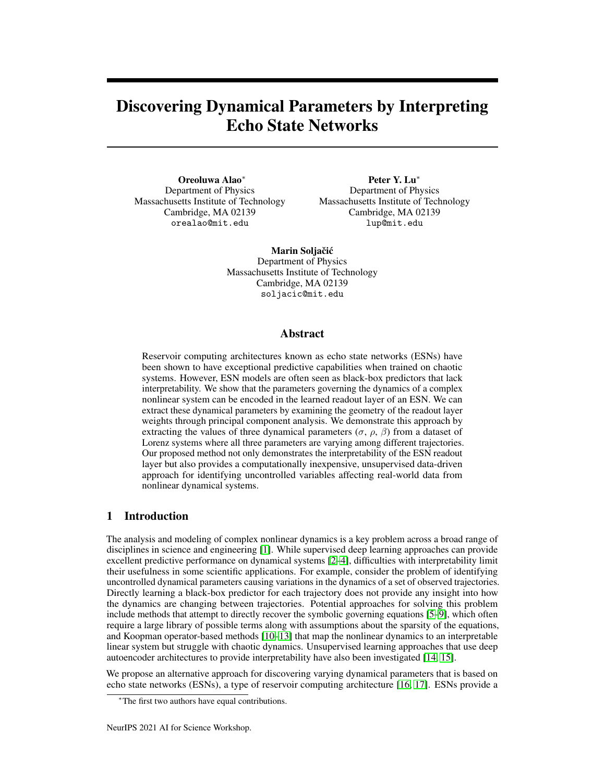# Discovering Dynamical Parameters by Interpreting Echo State Networks

Oreoluwa Alao<sup>∗</sup> Department of Physics Massachusetts Institute of Technology Cambridge, MA 02139 orealao@mit.edu

Peter Y. Lu<sup>∗</sup> Department of Physics Massachusetts Institute of Technology Cambridge, MA 02139 lup@mit.edu

Marin Soljačić Department of Physics Massachusetts Institute of Technology Cambridge, MA 02139 soljacic@mit.edu

## Abstract

Reservoir computing architectures known as echo state networks (ESNs) have been shown to have exceptional predictive capabilities when trained on chaotic systems. However, ESN models are often seen as black-box predictors that lack interpretability. We show that the parameters governing the dynamics of a complex nonlinear system can be encoded in the learned readout layer of an ESN. We can extract these dynamical parameters by examining the geometry of the readout layer weights through principal component analysis. We demonstrate this approach by extracting the values of three dynamical parameters ( $\sigma$ ,  $\rho$ ,  $\beta$ ) from a dataset of Lorenz systems where all three parameters are varying among different trajectories. Our proposed method not only demonstrates the interpretability of the ESN readout layer but also provides a computationally inexpensive, unsupervised data-driven approach for identifying uncontrolled variables affecting real-world data from nonlinear dynamical systems.

# 1 Introduction

The analysis and modeling of complex nonlinear dynamics is a key problem across a broad range of disciplines in science and engineering [\[1\]](#page-4-0). While supervised deep learning approaches can provide excellent predictive performance on dynamical systems [\[2](#page-4-1)[–4\]](#page-4-2), difficulties with interpretability limit their usefulness in some scientific applications. For example, consider the problem of identifying uncontrolled dynamical parameters causing variations in the dynamics of a set of observed trajectories. Directly learning a black-box predictor for each trajectory does not provide any insight into how the dynamics are changing between trajectories. Potential approaches for solving this problem include methods that attempt to directly recover the symbolic governing equations [\[5–](#page-4-3)[9\]](#page-5-0), which often require a large library of possible terms along with assumptions about the sparsity of the equations, and Koopman operator-based methods [\[10–](#page-5-1)[13\]](#page-5-2) that map the nonlinear dynamics to an interpretable linear system but struggle with chaotic dynamics. Unsupervised learning approaches that use deep autoencoder architectures to provide interpretability have also been investigated [\[14,](#page-5-3) [15\]](#page-5-4).

We propose an alternative approach for discovering varying dynamical parameters that is based on echo state networks (ESNs), a type of reservoir computing architecture [\[16,](#page-5-5) [17\]](#page-5-6). ESNs provide a

<sup>∗</sup>The first two authors have equal contributions.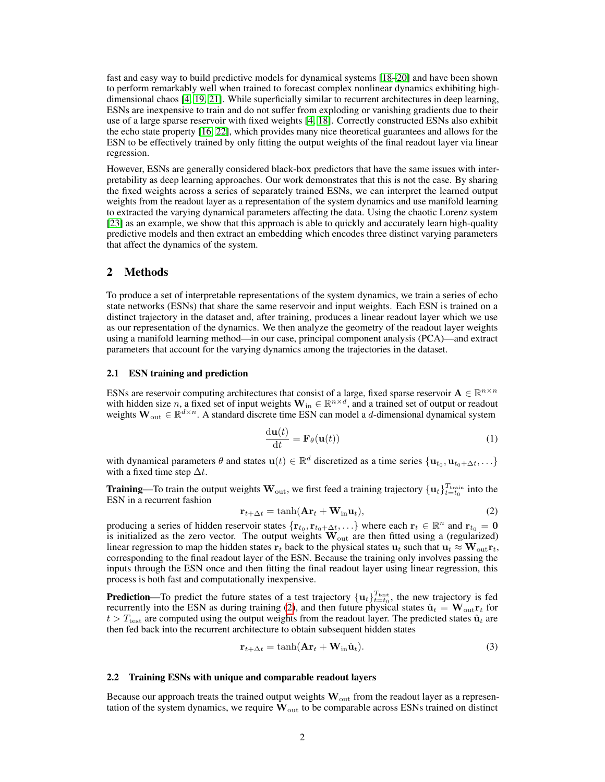fast and easy way to build predictive models for dynamical systems [\[18–](#page-5-7)[20\]](#page-6-0) and have been shown to perform remarkably well when trained to forecast complex nonlinear dynamics exhibiting highdimensional chaos [\[4,](#page-4-2) [19,](#page-6-1) [21\]](#page-6-2). While superficially similar to recurrent architectures in deep learning, ESNs are inexpensive to train and do not suffer from exploding or vanishing gradients due to their use of a large sparse reservoir with fixed weights [\[4,](#page-4-2) [18\]](#page-5-7). Correctly constructed ESNs also exhibit the echo state property [\[16,](#page-5-5) [22\]](#page-6-3), which provides many nice theoretical guarantees and allows for the ESN to be effectively trained by only fitting the output weights of the final readout layer via linear regression.

However, ESNs are generally considered black-box predictors that have the same issues with interpretability as deep learning approaches. Our work demonstrates that this is not the case. By sharing the fixed weights across a series of separately trained ESNs, we can interpret the learned output weights from the readout layer as a representation of the system dynamics and use manifold learning to extracted the varying dynamical parameters affecting the data. Using the chaotic Lorenz system [\[23\]](#page-6-4) as an example, we show that this approach is able to quickly and accurately learn high-quality predictive models and then extract an embedding which encodes three distinct varying parameters that affect the dynamics of the system.

## 2 Methods

To produce a set of interpretable representations of the system dynamics, we train a series of echo state networks (ESNs) that share the same reservoir and input weights. Each ESN is trained on a distinct trajectory in the dataset and, after training, produces a linear readout layer which we use as our representation of the dynamics. We then analyze the geometry of the readout layer weights using a manifold learning method—in our case, principal component analysis (PCA)—and extract parameters that account for the varying dynamics among the trajectories in the dataset.

#### 2.1 ESN training and prediction

ESNs are reservoir computing architectures that consist of a large, fixed sparse reservoir  $A \in \mathbb{R}^{n \times n}$ with hidden size n, a fixed set of input weights  $W_{in} \in \mathbb{R}^{n \times d}$ , and a trained set of output or readout weights  $\mathbf{W}_{out} \in \mathbb{R}^{d \times n}$ . A standard discrete time ESN can model a d-dimensional dynamical system

<span id="page-1-1"></span>
$$
\frac{\mathrm{d}\mathbf{u}(t)}{\mathrm{d}t} = \mathbf{F}_{\theta}(\mathbf{u}(t))\tag{1}
$$

with dynamical parameters  $\theta$  and states  $\mathbf{u}(t) \in \mathbb{R}^d$  discretized as a time series  $\{\mathbf{u}_{t_0}, \mathbf{u}_{t_0+\Delta t}, \ldots\}$ with a fixed time step  $\Delta t$ .

**Training**—To train the output weights  $W_{\text{out}}$ , we first feed a training trajectory  $\{u_t\}_{t=t_0}^{T_{\text{train}}}$  into the ESN in a recurrent fashion

<span id="page-1-0"></span>
$$
\mathbf{r}_{t+\Delta t} = \tanh(\mathbf{A}\mathbf{r}_t + \mathbf{W}_{\text{in}}\mathbf{u}_t),\tag{2}
$$

producing a series of hidden reservoir states  $\{r_{t_0}, r_{t_0+\Delta t}, ...\}$  where each  $r_t \in \mathbb{R}^n$  and  $r_{t_0} = 0$ is initialized as the zero vector. The output weights  $W_{\text{out}}$  are then fitted using a (regularized) linear regression to map the hidden states  $\mathbf{r}_t$  back to the physical states  $\mathbf{u}_t$  such that  $\mathbf{u}_t \approx \mathbf{W}_{\text{out}} \mathbf{r}_t$ , corresponding to the final readout layer of the ESN. Because the training only involves passing the inputs through the ESN once and then fitting the final readout layer using linear regression, this process is both fast and computationally inexpensive.

**Prediction**—To predict the future states of a test trajectory  $\{u_t\}_{t=t_0}^{T_{\text{test}}}$ , the new trajectory is fed recurrently into the ESN as during training [\(2\)](#page-1-0), and then future physical states  $\hat{\mathbf{u}}_t = \mathbf{W}_{\text{out}} \mathbf{r}_t$  for  $t > T_{\text{test}}$  are computed using the output weights from the readout layer. The predicted states  $\hat{u}_t$  are then fed back into the recurrent architecture to obtain subsequent hidden states

$$
\mathbf{r}_{t+\Delta t} = \tanh(\mathbf{A}\mathbf{r}_t + \mathbf{W}_{\text{in}}\hat{\mathbf{u}}_t). \tag{3}
$$

#### 2.2 Training ESNs with unique and comparable readout layers

Because our approach treats the trained output weights  $\mathbf{W}_{out}$  from the readout layer as a representation of the system dynamics, we require  $\mathbf{W}_{\text{out}}$  to be comparable across ESNs trained on distinct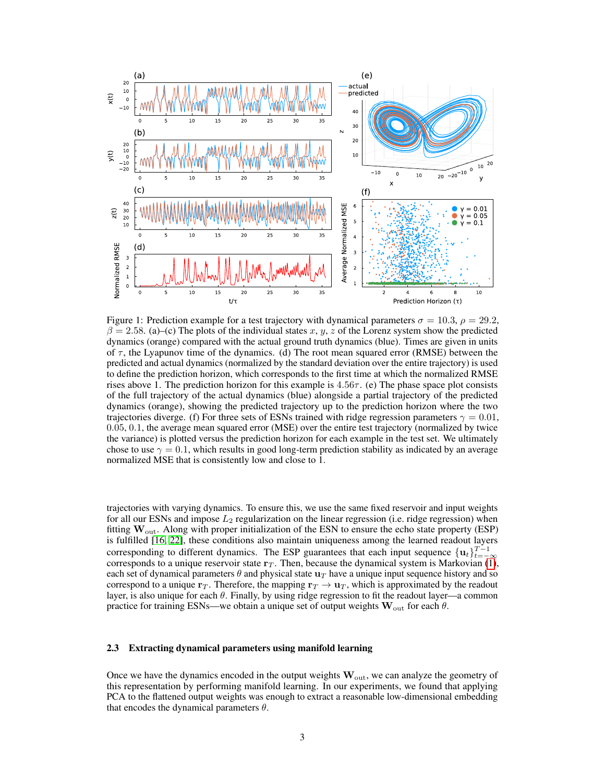

<span id="page-2-0"></span>Figure 1: Prediction example for a test trajectory with dynamical parameters  $\sigma = 10.3$ ,  $\rho = 29.2$ ,  $\beta = 2.58$ . (a)–(c) The plots of the individual states x, y, z of the Lorenz system show the predicted dynamics (orange) compared with the actual ground truth dynamics (blue). Times are given in units of  $\tau$ , the Lyapunov time of the dynamics. (d) The root mean squared error (RMSE) between the predicted and actual dynamics (normalized by the standard deviation over the entire trajectory) is used to define the prediction horizon, which corresponds to the first time at which the normalized RMSE rises above 1. The prediction horizon for this example is  $4.56\tau$ . (e) The phase space plot consists of the full trajectory of the actual dynamics (blue) alongside a partial trajectory of the predicted dynamics (orange), showing the predicted trajectory up to the prediction horizon where the two trajectories diverge. (f) For three sets of ESNs trained with ridge regression parameters  $\gamma = 0.01$ , 0.05, 0.1, the average mean squared error (MSE) over the entire test trajectory (normalized by twice the variance) is plotted versus the prediction horizon for each example in the test set. We ultimately chose to use  $\gamma = 0.1$ , which results in good long-term prediction stability as indicated by an average normalized MSE that is consistently low and close to 1.

trajectories with varying dynamics. To ensure this, we use the same fixed reservoir and input weights for all our ESNs and impose  $L_2$  regularization on the linear regression (i.e. ridge regression) when fitting  $W_{\text{out}}$ . Along with proper initialization of the ESN to ensure the echo state property (ESP) is fulfilled [\[16,](#page-5-5) [22\]](#page-6-3), these conditions also maintain uniqueness among the learned readout layers corresponding to different dynamics. The ESP guarantees that each input sequence  $\{u_t\}_{t=-\infty}^{T-1}$ corresponds to a unique reservoir state  $r<sub>T</sub>$ . Then, because the dynamical system is Markovian [\(1\)](#page-1-1), each set of dynamical parameters  $\theta$  and physical state  $\mathbf{u}_T$  have a unique input sequence history and so correspond to a unique  $\mathbf{r}_T$ . Therefore, the mapping  $\mathbf{r}_T \to \mathbf{u}_T$ , which is approximated by the readout layer, is also unique for each  $\theta$ . Finally, by using ridge regression to fit the readout layer—a common practice for training ESNs—we obtain a unique set of output weights  $W_{\text{out}}$  for each  $\theta$ .

#### 2.3 Extracting dynamical parameters using manifold learning

Once we have the dynamics encoded in the output weights  $W_{\text{out}}$ , we can analyze the geometry of this representation by performing manifold learning. In our experiments, we found that applying PCA to the flattened output weights was enough to extract a reasonable low-dimensional embedding that encodes the dynamical parameters  $\theta$ .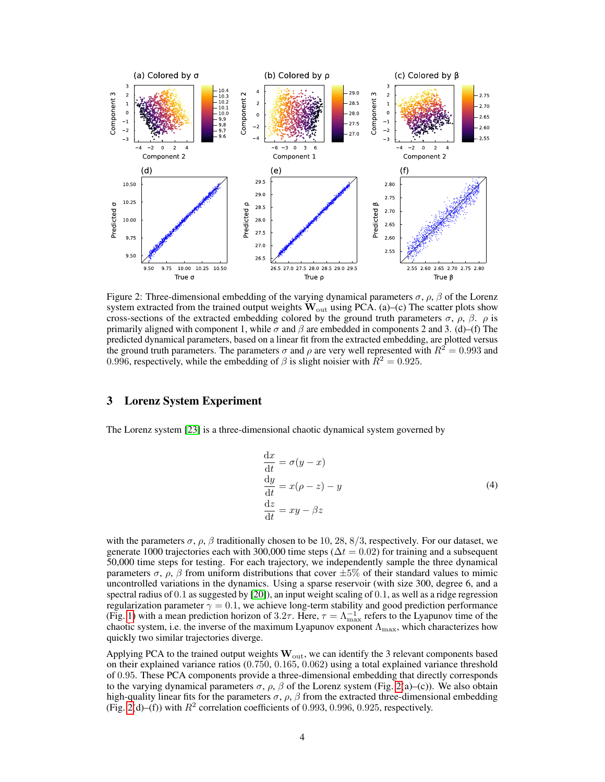

<span id="page-3-0"></span>Figure 2: Three-dimensional embedding of the varying dynamical parameters  $\sigma$ ,  $\rho$ ,  $\beta$  of the Lorenz system extracted from the trained output weights  $W_{\text{out}}$  using PCA. (a)–(c) The scatter plots show cross-sections of the extracted embedding colored by the ground truth parameters  $\sigma$ ,  $\rho$ ,  $\beta$ .  $\rho$  is primarily aligned with component 1, while  $\sigma$  and  $\beta$  are embedded in components 2 and 3. (d)–(f) The predicted dynamical parameters, based on a linear fit from the extracted embedding, are plotted versus the ground truth parameters. The parameters  $\sigma$  and  $\rho$  are very well represented with  $R^2 = 0.993$  and 0.996, respectively, while the embedding of  $\beta$  is slight noisier with  $R^2 = 0.925$ .

### 3 Lorenz System Experiment

The Lorenz system [\[23\]](#page-6-4) is a three-dimensional chaotic dynamical system governed by

$$
\begin{aligned}\n\frac{\mathrm{d}x}{\mathrm{d}t} &= \sigma(y - x) \\
\frac{\mathrm{d}y}{\mathrm{d}t} &= x(\rho - z) - y \\
\frac{\mathrm{d}z}{\mathrm{d}t} &= xy - \beta z\n\end{aligned}
$$
\n(4)

with the parameters  $\sigma$ ,  $\rho$ ,  $\beta$  traditionally chosen to be 10, 28, 8/3, respectively. For our dataset, we generate 1000 trajectories each with 300,000 time steps ( $\Delta t = 0.02$ ) for training and a subsequent 50,000 time steps for testing. For each trajectory, we independently sample the three dynamical parameters  $\sigma$ ,  $\rho$ ,  $\beta$  from uniform distributions that cover  $\pm 5\%$  of their standard values to mimic uncontrolled variations in the dynamics. Using a sparse reservoir (with size 300, degree 6, and a spectral radius of 0.1 as suggested by [\[20\]](#page-6-0)), an input weight scaling of 0.1, as well as a ridge regression regularization parameter  $\gamma = 0.1$ , we achieve long-term stability and good prediction performance (Fig. [1\)](#page-2-0) with a mean prediction horizon of 3.2 $\tau$ . Here,  $\tau = \Lambda_{\text{max}}^{-1}$  refers to the Lyapunov time of the chaotic system, i.e. the inverse of the maximum Lyapunov exponent  $\Lambda_{\text{max}}$ , which characterizes how quickly two similar trajectories diverge.

Applying PCA to the trained output weights  $\mathbf{W}_{out}$ , we can identify the 3 relevant components based on their explained variance ratios (0.750, 0.165, 0.062) using a total explained variance threshold of 0.95. These PCA components provide a three-dimensional embedding that directly corresponds to the varying dynamical parameters  $\sigma$ ,  $\rho$ ,  $\beta$  of the Lorenz system (Fig. [2\(](#page-3-0)a)–(c)). We also obtain high-quality linear fits for the parameters  $\sigma$ ,  $\rho$ ,  $\beta$  from the extracted three-dimensional embedding (Fig. [2\(](#page-3-0)d)–(f)) with  $R^2$  correlation coefficients of 0.993, 0.996, 0.925, respectively.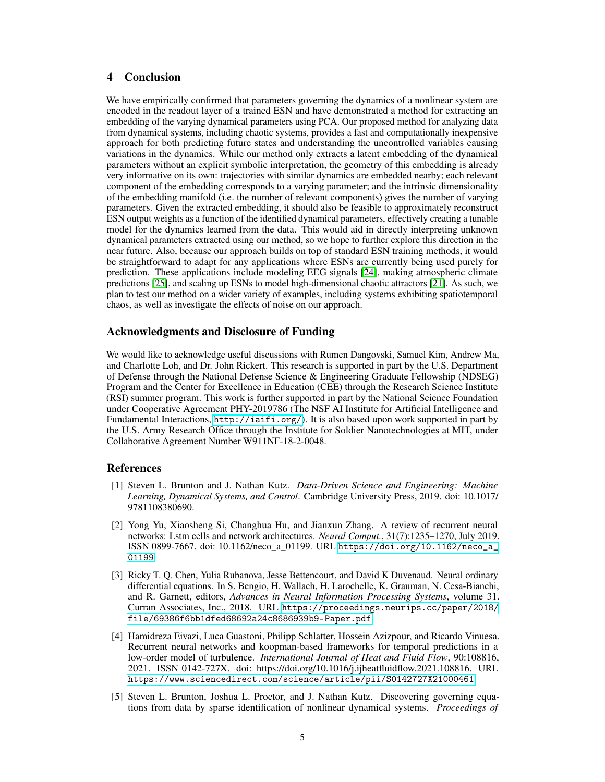# 4 Conclusion

We have empirically confirmed that parameters governing the dynamics of a nonlinear system are encoded in the readout layer of a trained ESN and have demonstrated a method for extracting an embedding of the varying dynamical parameters using PCA. Our proposed method for analyzing data from dynamical systems, including chaotic systems, provides a fast and computationally inexpensive approach for both predicting future states and understanding the uncontrolled variables causing variations in the dynamics. While our method only extracts a latent embedding of the dynamical parameters without an explicit symbolic interpretation, the geometry of this embedding is already very informative on its own: trajectories with similar dynamics are embedded nearby; each relevant component of the embedding corresponds to a varying parameter; and the intrinsic dimensionality of the embedding manifold (i.e. the number of relevant components) gives the number of varying parameters. Given the extracted embedding, it should also be feasible to approximately reconstruct ESN output weights as a function of the identified dynamical parameters, effectively creating a tunable model for the dynamics learned from the data. This would aid in directly interpreting unknown dynamical parameters extracted using our method, so we hope to further explore this direction in the near future. Also, because our approach builds on top of standard ESN training methods, it would be straightforward to adapt for any applications where ESNs are currently being used purely for prediction. These applications include modeling EEG signals [\[24\]](#page-6-5), making atmospheric climate predictions [\[25\]](#page-6-6), and scaling up ESNs to model high-dimensional chaotic attractors [\[21\]](#page-6-2). As such, we plan to test our method on a wider variety of examples, including systems exhibiting spatiotemporal chaos, as well as investigate the effects of noise on our approach.

# Acknowledgments and Disclosure of Funding

We would like to acknowledge useful discussions with Rumen Dangovski, Samuel Kim, Andrew Ma, and Charlotte Loh, and Dr. John Rickert. This research is supported in part by the U.S. Department of Defense through the National Defense Science & Engineering Graduate Fellowship (NDSEG) Program and the Center for Excellence in Education (CEE) through the Research Science Institute (RSI) summer program. This work is further supported in part by the National Science Foundation under Cooperative Agreement PHY-2019786 (The NSF AI Institute for Artificial Intelligence and Fundamental Interactions,  $http://iaifi.org/)$  $http://iaifi.org/)$ . It is also based upon work supported in part by the U.S. Army Research Office through the Institute for Soldier Nanotechnologies at MIT, under Collaborative Agreement Number W911NF-18-2-0048.

## References

- <span id="page-4-0"></span>[1] Steven L. Brunton and J. Nathan Kutz. *Data-Driven Science and Engineering: Machine Learning, Dynamical Systems, and Control*. Cambridge University Press, 2019. doi: 10.1017/ 9781108380690.
- <span id="page-4-1"></span>[2] Yong Yu, Xiaosheng Si, Changhua Hu, and Jianxun Zhang. A review of recurrent neural networks: Lstm cells and network architectures. *Neural Comput.*, 31(7):1235–1270, July 2019. ISSN 0899-7667. doi: 10.1162/neco\_a\_01199. URL [https://doi.org/10.1162/neco\\_a\\_](https://doi.org/10.1162/neco_a_01199) [01199](https://doi.org/10.1162/neco_a_01199).
- [3] Ricky T. Q. Chen, Yulia Rubanova, Jesse Bettencourt, and David K Duvenaud. Neural ordinary differential equations. In S. Bengio, H. Wallach, H. Larochelle, K. Grauman, N. Cesa-Bianchi, and R. Garnett, editors, *Advances in Neural Information Processing Systems*, volume 31. Curran Associates, Inc., 2018. URL [https://proceedings.neurips.cc/paper/2018/](https://proceedings.neurips.cc/paper/2018/file/69386f6bb1dfed68692a24c8686939b9-Paper.pdf) [file/69386f6bb1dfed68692a24c8686939b9-Paper.pdf](https://proceedings.neurips.cc/paper/2018/file/69386f6bb1dfed68692a24c8686939b9-Paper.pdf).
- <span id="page-4-2"></span>[4] Hamidreza Eivazi, Luca Guastoni, Philipp Schlatter, Hossein Azizpour, and Ricardo Vinuesa. Recurrent neural networks and koopman-based frameworks for temporal predictions in a low-order model of turbulence. *International Journal of Heat and Fluid Flow*, 90:108816, 2021. ISSN 0142-727X. doi: https://doi.org/10.1016/j.ijheatfluidflow.2021.108816. URL <https://www.sciencedirect.com/science/article/pii/S0142727X21000461>.
- <span id="page-4-3"></span>[5] Steven L. Brunton, Joshua L. Proctor, and J. Nathan Kutz. Discovering governing equations from data by sparse identification of nonlinear dynamical systems. *Proceedings of*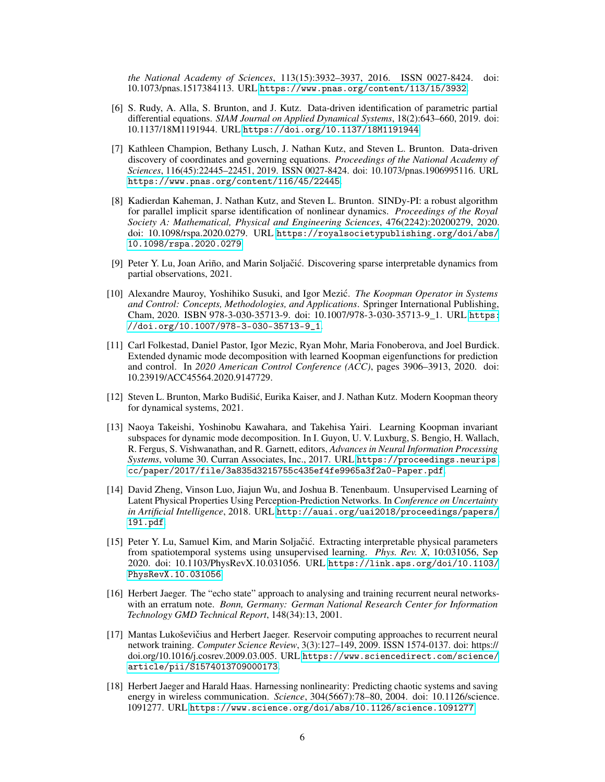*the National Academy of Sciences*, 113(15):3932–3937, 2016. ISSN 0027-8424. doi: 10.1073/pnas.1517384113. URL <https://www.pnas.org/content/113/15/3932>.

- [6] S. Rudy, A. Alla, S. Brunton, and J. Kutz. Data-driven identification of parametric partial differential equations. *SIAM Journal on Applied Dynamical Systems*, 18(2):643–660, 2019. doi: 10.1137/18M1191944. URL <https://doi.org/10.1137/18M1191944>.
- [7] Kathleen Champion, Bethany Lusch, J. Nathan Kutz, and Steven L. Brunton. Data-driven discovery of coordinates and governing equations. *Proceedings of the National Academy of Sciences*, 116(45):22445–22451, 2019. ISSN 0027-8424. doi: 10.1073/pnas.1906995116. URL <https://www.pnas.org/content/116/45/22445>.
- [8] Kadierdan Kaheman, J. Nathan Kutz, and Steven L. Brunton. SINDy-PI: a robust algorithm for parallel implicit sparse identification of nonlinear dynamics. *Proceedings of the Royal Society A: Mathematical, Physical and Engineering Sciences*, 476(2242):20200279, 2020. doi: 10.1098/rspa.2020.0279. URL [https://royalsocietypublishing.org/doi/abs/](https://royalsocietypublishing.org/doi/abs/10.1098/rspa.2020.0279) [10.1098/rspa.2020.0279](https://royalsocietypublishing.org/doi/abs/10.1098/rspa.2020.0279).
- <span id="page-5-0"></span>[9] Peter Y. Lu, Joan Ariño, and Marin Soljačić. Discovering sparse interpretable dynamics from partial observations, 2021.
- <span id="page-5-1"></span>[10] Alexandre Mauroy, Yoshihiko Susuki, and Igor Mezic.´ *The Koopman Operator in Systems and Control: Concepts, Methodologies, and Applications*. Springer International Publishing, Cham, 2020. ISBN 978-3-030-35713-9. doi: 10.1007/978-3-030-35713-9\_1. URL [https:](https://doi.org/10.1007/978-3-030-35713-9_1) [//doi.org/10.1007/978-3-030-35713-9\\_1](https://doi.org/10.1007/978-3-030-35713-9_1).
- [11] Carl Folkestad, Daniel Pastor, Igor Mezic, Ryan Mohr, Maria Fonoberova, and Joel Burdick. Extended dynamic mode decomposition with learned Koopman eigenfunctions for prediction and control. In *2020 American Control Conference (ACC)*, pages 3906–3913, 2020. doi: 10.23919/ACC45564.2020.9147729.
- [12] Steven L. Brunton, Marko Budišic, Eurika Kaiser, and J. Nathan Kutz. Modern Koopman theory ´ for dynamical systems, 2021.
- <span id="page-5-2"></span>[13] Naoya Takeishi, Yoshinobu Kawahara, and Takehisa Yairi. Learning Koopman invariant subspaces for dynamic mode decomposition. In I. Guyon, U. V. Luxburg, S. Bengio, H. Wallach, R. Fergus, S. Vishwanathan, and R. Garnett, editors, *Advances in Neural Information Processing Systems*, volume 30. Curran Associates, Inc., 2017. URL [https://proceedings.neurips.](https://proceedings.neurips.cc/paper/2017/file/3a835d3215755c435ef4fe9965a3f2a0-Paper.pdf) [cc/paper/2017/file/3a835d3215755c435ef4fe9965a3f2a0-Paper.pdf](https://proceedings.neurips.cc/paper/2017/file/3a835d3215755c435ef4fe9965a3f2a0-Paper.pdf).
- <span id="page-5-3"></span>[14] David Zheng, Vinson Luo, Jiajun Wu, and Joshua B. Tenenbaum. Unsupervised Learning of Latent Physical Properties Using Perception-Prediction Networks. In *Conference on Uncertainty in Artificial Intelligence*, 2018. URL [http://auai.org/uai2018/proceedings/papers/](http://auai.org/uai2018/proceedings/papers/191.pdf) [191.pdf](http://auai.org/uai2018/proceedings/papers/191.pdf).
- <span id="page-5-4"></span>[15] Peter Y. Lu, Samuel Kim, and Marin Soljačić. Extracting interpretable physical parameters from spatiotemporal systems using unsupervised learning. *Phys. Rev. X*, 10:031056, Sep 2020. doi: 10.1103/PhysRevX.10.031056. URL [https://link.aps.org/doi/10.1103/](https://link.aps.org/doi/10.1103/PhysRevX.10.031056) [PhysRevX.10.031056](https://link.aps.org/doi/10.1103/PhysRevX.10.031056).
- <span id="page-5-5"></span>[16] Herbert Jaeger. The "echo state" approach to analysing and training recurrent neural networkswith an erratum note. *Bonn, Germany: German National Research Center for Information Technology GMD Technical Report*, 148(34):13, 2001.
- <span id="page-5-6"></span>[17] Mantas Lukoševičius and Herbert Jaeger. Reservoir computing approaches to recurrent neural network training. *Computer Science Review*, 3(3):127–149, 2009. ISSN 1574-0137. doi: https:// doi.org/10.1016/j.cosrev.2009.03.005. URL [https://www.sciencedirect.com/science/](https://www.sciencedirect.com/science/article/pii/S1574013709000173) [article/pii/S1574013709000173](https://www.sciencedirect.com/science/article/pii/S1574013709000173).
- <span id="page-5-7"></span>[18] Herbert Jaeger and Harald Haas. Harnessing nonlinearity: Predicting chaotic systems and saving energy in wireless communication. *Science*, 304(5667):78–80, 2004. doi: 10.1126/science. 1091277. URL <https://www.science.org/doi/abs/10.1126/science.1091277>.